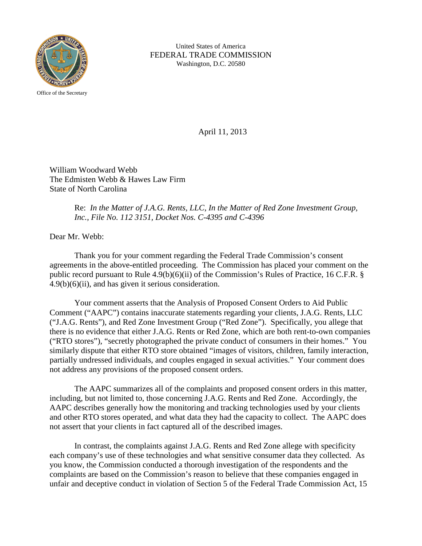

United States of America FEDERAL TRADE COMMISSION Washington, D.C. 20580

April 11, 2013

William Woodward Webb The Edmisten Webb & Hawes Law Firm State of North Carolina

## Re: *In the Matter of J.A.G. Rents, LLC, In the Matter of Red Zone Investment Group, Inc., File No. 112 3151, Docket Nos. C-4395 and C-4396*

Dear Mr. Webb:

Thank you for your comment regarding the Federal Trade Commission's consent agreements in the above-entitled proceeding. The Commission has placed your comment on the public record pursuant to Rule 4.9(b)(6)(ii) of the Commission's Rules of Practice, 16 C.F.R. § 4.9(b)(6)(ii), and has given it serious consideration.

Your comment asserts that the Analysis of Proposed Consent Orders to Aid Public Comment ("AAPC") contains inaccurate statements regarding your clients, J.A.G. Rents, LLC ("J.A.G. Rents"), and Red Zone Investment Group ("Red Zone"). Specifically, you allege that there is no evidence that either J.A.G. Rents or Red Zone, which are both rent-to-own companies ("RTO stores"), "secretly photographed the private conduct of consumers in their homes." You similarly dispute that either RTO store obtained "images of visitors, children, family interaction, partially undressed individuals, and couples engaged in sexual activities." Your comment does not address any provisions of the proposed consent orders.

The AAPC summarizes all of the complaints and proposed consent orders in this matter, including, but not limited to, those concerning J.A.G. Rents and Red Zone. Accordingly, the AAPC describes generally how the monitoring and tracking technologies used by your clients and other RTO stores operated, and what data they had the capacity to collect. The AAPC does not assert that your clients in fact captured all of the described images.

In contrast, the complaints against J.A.G. Rents and Red Zone allege with specificity each company's use of these technologies and what sensitive consumer data they collected. As you know, the Commission conducted a thorough investigation of the respondents and the complaints are based on the Commission's reason to believe that these companies engaged in unfair and deceptive conduct in violation of Section 5 of the Federal Trade Commission Act, 15